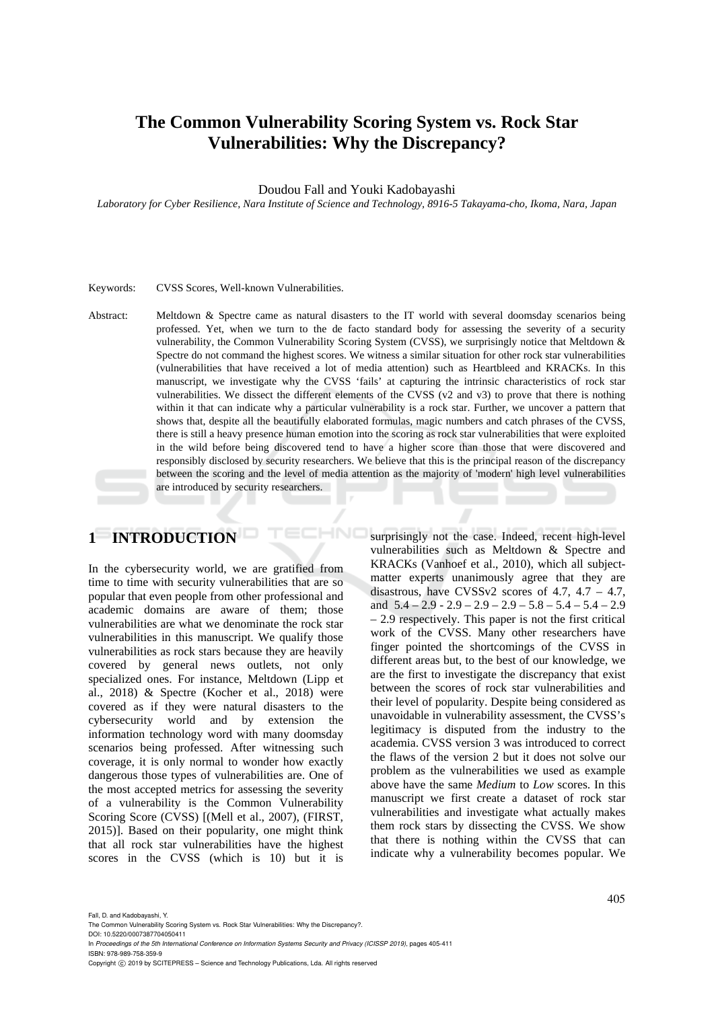# **The Common Vulnerability Scoring System vs. Rock Star Vulnerabilities: Why the Discrepancy?**

Doudou Fall and Youki Kadobayashi

*Laboratory for Cyber Resilience, Nara Institute of Science and Technology, 8916-5 Takayama-cho, Ikoma, Nara, Japan* 

#### Keywords: CVSS Scores, Well-known Vulnerabilities.

Abstract: Meltdown & Spectre came as natural disasters to the IT world with several doomsday scenarios being professed. Yet, when we turn to the de facto standard body for assessing the severity of a security vulnerability, the Common Vulnerability Scoring System (CVSS), we surprisingly notice that Meltdown & Spectre do not command the highest scores. We witness a similar situation for other rock star vulnerabilities (vulnerabilities that have received a lot of media attention) such as Heartbleed and KRACKs. In this manuscript, we investigate why the CVSS 'fails' at capturing the intrinsic characteristics of rock star vulnerabilities. We dissect the different elements of the CVSS (v2 and v3) to prove that there is nothing within it that can indicate why a particular vulnerability is a rock star. Further, we uncover a pattern that shows that, despite all the beautifully elaborated formulas, magic numbers and catch phrases of the CVSS, there is still a heavy presence human emotion into the scoring as rock star vulnerabilities that were exploited in the wild before being discovered tend to have a higher score than those that were discovered and responsibly disclosed by security researchers. We believe that this is the principal reason of the discrepancy between the scoring and the level of media attention as the majority of 'modern' high level vulnerabilities are introduced by security researchers.

HNC

# **1 INTRODUCTION**

In the cybersecurity world, we are gratified from time to time with security vulnerabilities that are so popular that even people from other professional and academic domains are aware of them; those vulnerabilities are what we denominate the rock star vulnerabilities in this manuscript. We qualify those vulnerabilities as rock stars because they are heavily covered by general news outlets, not only specialized ones. For instance, Meltdown (Lipp et al., 2018) & Spectre (Kocher et al., 2018) were covered as if they were natural disasters to the cybersecurity world and by extension the information technology word with many doomsday scenarios being professed. After witnessing such coverage, it is only normal to wonder how exactly dangerous those types of vulnerabilities are. One of the most accepted metrics for assessing the severity of a vulnerability is the Common Vulnerability Scoring Score (CVSS) [(Mell et al., 2007), (FIRST, 2015)]. Based on their popularity, one might think that all rock star vulnerabilities have the highest scores in the CVSS (which is 10) but it is

surprisingly not the case. Indeed, recent high-level vulnerabilities such as Meltdown & Spectre and KRACKs (Vanhoef et al., 2010), which all subjectmatter experts unanimously agree that they are disastrous, have CVSSv2 scores of  $4.7$ ,  $4.7 - 4.7$ , and  $5.4 - 2.9 - 2.9 - 2.9 - 2.9 - 5.8 - 5.4 - 5.4 - 2.9$ – 2.9 respectively. This paper is not the first critical work of the CVSS. Many other researchers have finger pointed the shortcomings of the CVSS in different areas but, to the best of our knowledge, we are the first to investigate the discrepancy that exist between the scores of rock star vulnerabilities and their level of popularity. Despite being considered as unavoidable in vulnerability assessment, the CVSS's legitimacy is disputed from the industry to the academia. CVSS version 3 was introduced to correct the flaws of the version 2 but it does not solve our problem as the vulnerabilities we used as example above have the same *Medium* to *Low* scores. In this manuscript we first create a dataset of rock star vulnerabilities and investigate what actually makes them rock stars by dissecting the CVSS. We show that there is nothing within the CVSS that can indicate why a vulnerability becomes popular. We

Fall, D. and Kadobayashi, Y.

The Common Vulnerability Scoring System vs. Rock Star Vulnerabilities: Why the Discrepancy?.

DOI: 10.5220/0007387704050411 In *Proceedings of the 5th International Conference on Information Systems Security and Privacy (ICISSP 2019)*, pages 405-411 ISBN: 978-989-758-359-9

Copyright (C) 2019 by SCITEPRESS - Science and Technology Publications, Lda. All rights reserved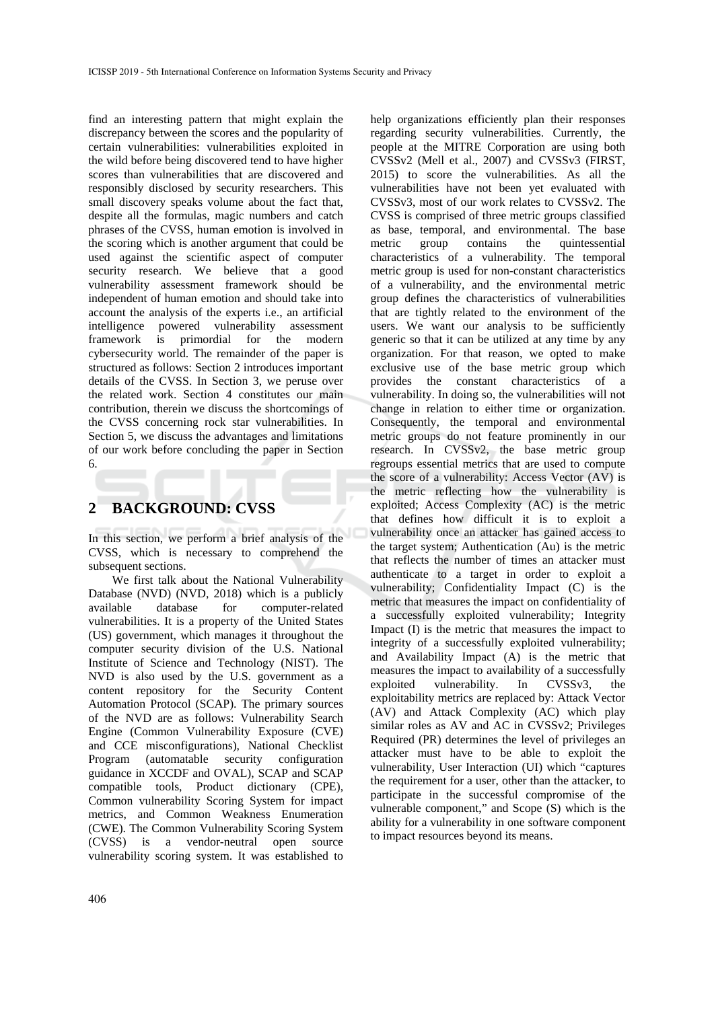find an interesting pattern that might explain the discrepancy between the scores and the popularity of certain vulnerabilities: vulnerabilities exploited in the wild before being discovered tend to have higher scores than vulnerabilities that are discovered and responsibly disclosed by security researchers. This small discovery speaks volume about the fact that, despite all the formulas, magic numbers and catch phrases of the CVSS, human emotion is involved in the scoring which is another argument that could be used against the scientific aspect of computer security research. We believe that a good vulnerability assessment framework should be independent of human emotion and should take into account the analysis of the experts i.e., an artificial intelligence powered vulnerability assessment framework is primordial for the modern cybersecurity world. The remainder of the paper is structured as follows: Section 2 introduces important details of the CVSS. In Section 3, we peruse over the related work. Section 4 constitutes our main contribution, therein we discuss the shortcomings of the CVSS concerning rock star vulnerabilities. In Section 5, we discuss the advantages and limitations of our work before concluding the paper in Section 6.

## **2 BACKGROUND: CVSS**

In this section, we perform a brief analysis of the CVSS, which is necessary to comprehend the subsequent sections.

We first talk about the National Vulnerability Database (NVD) (NVD, 2018) which is a publicly available database for computer-related vulnerabilities. It is a property of the United States (US) government, which manages it throughout the computer security division of the U.S. National Institute of Science and Technology (NIST). The NVD is also used by the U.S. government as a content repository for the Security Content Automation Protocol (SCAP). The primary sources of the NVD are as follows: Vulnerability Search Engine (Common Vulnerability Exposure (CVE) and CCE misconfigurations), National Checklist Program (automatable security configuration guidance in XCCDF and OVAL), SCAP and SCAP compatible tools, Product dictionary (CPE), Common vulnerability Scoring System for impact metrics, and Common Weakness Enumeration (CWE). The Common Vulnerability Scoring System (CVSS) is a vendor-neutral open source vulnerability scoring system. It was established to help organizations efficiently plan their responses regarding security vulnerabilities. Currently, the people at the MITRE Corporation are using both CVSSv2 (Mell et al., 2007) and CVSSv3 (FIRST, 2015) to score the vulnerabilities. As all the vulnerabilities have not been yet evaluated with CVSSv3, most of our work relates to CVSSv2. The CVSS is comprised of three metric groups classified as base, temporal, and environmental. The base<br>metric group contains the quintessential metric group contains the quintessential characteristics of a vulnerability. The temporal metric group is used for non-constant characteristics of a vulnerability, and the environmental metric group defines the characteristics of vulnerabilities that are tightly related to the environment of the users. We want our analysis to be sufficiently generic so that it can be utilized at any time by any organization. For that reason, we opted to make exclusive use of the base metric group which provides the constant characteristics of a vulnerability. In doing so, the vulnerabilities will not change in relation to either time or organization. Consequently, the temporal and environmental metric groups do not feature prominently in our research. In CVSSv2, the base metric group regroups essential metrics that are used to compute the score of a vulnerability: Access Vector (AV) is the metric reflecting how the vulnerability is exploited; Access Complexity (AC) is the metric that defines how difficult it is to exploit a vulnerability once an attacker has gained access to the target system; Authentication (Au) is the metric that reflects the number of times an attacker must authenticate to a target in order to exploit a vulnerability; Confidentiality Impact (C) is the metric that measures the impact on confidentiality of a successfully exploited vulnerability; Integrity Impact (I) is the metric that measures the impact to integrity of a successfully exploited vulnerability; and Availability Impact (A) is the metric that measures the impact to availability of a successfully exploited vulnerability. In CVSSv3, the exploitability metrics are replaced by: Attack Vector (AV) and Attack Complexity (AC) which play similar roles as AV and AC in CVSSv2; Privileges Required (PR) determines the level of privileges an attacker must have to be able to exploit the vulnerability, User Interaction (UI) which "captures the requirement for a user, other than the attacker, to participate in the successful compromise of the vulnerable component," and Scope (S) which is the ability for a vulnerability in one software component to impact resources beyond its means.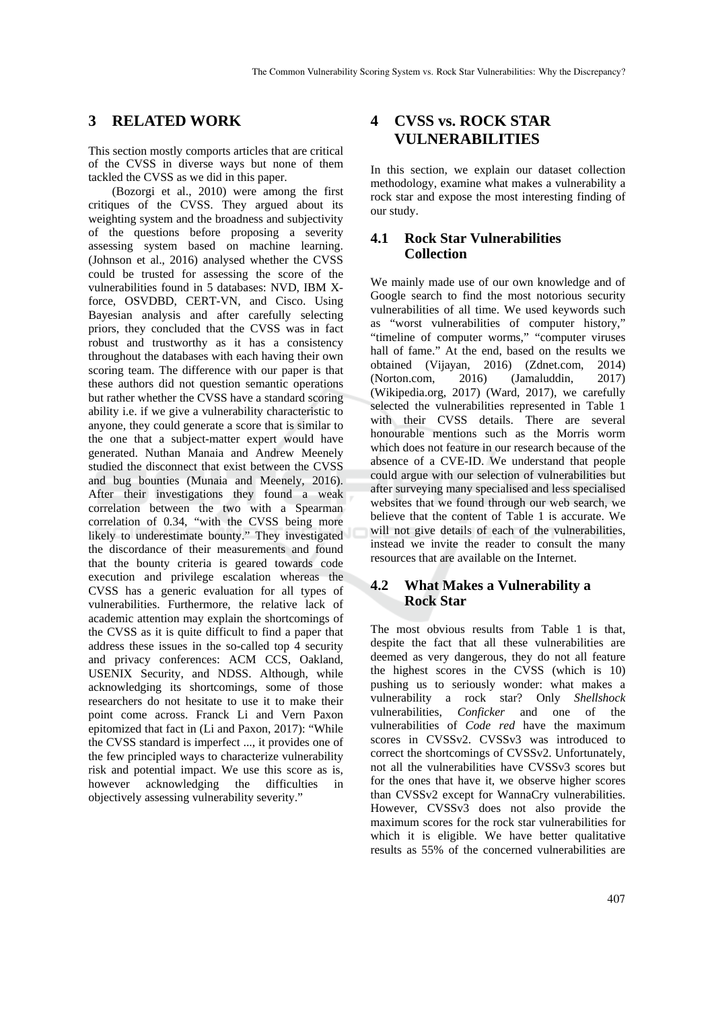### **3 RELATED WORK**

This section mostly comports articles that are critical of the CVSS in diverse ways but none of them tackled the CVSS as we did in this paper.

(Bozorgi et al., 2010) were among the first critiques of the CVSS. They argued about its weighting system and the broadness and subjectivity of the questions before proposing a severity assessing system based on machine learning. (Johnson et al., 2016) analysed whether the CVSS could be trusted for assessing the score of the vulnerabilities found in 5 databases: NVD, IBM Xforce, OSVDBD, CERT-VN, and Cisco. Using Bayesian analysis and after carefully selecting priors, they concluded that the CVSS was in fact robust and trustworthy as it has a consistency throughout the databases with each having their own scoring team. The difference with our paper is that these authors did not question semantic operations but rather whether the CVSS have a standard scoring ability i.e. if we give a vulnerability characteristic to anyone, they could generate a score that is similar to the one that a subject-matter expert would have generated. Nuthan Manaia and Andrew Meenely studied the disconnect that exist between the CVSS and bug bounties (Munaia and Meenely, 2016). After their investigations they found a weak correlation between the two with a Spearman correlation of 0.34, "with the CVSS being more likely to underestimate bounty." They investigated the discordance of their measurements and found that the bounty criteria is geared towards code execution and privilege escalation whereas the CVSS has a generic evaluation for all types of vulnerabilities. Furthermore, the relative lack of academic attention may explain the shortcomings of the CVSS as it is quite difficult to find a paper that address these issues in the so-called top 4 security and privacy conferences: ACM CCS, Oakland, USENIX Security, and NDSS. Although, while acknowledging its shortcomings, some of those researchers do not hesitate to use it to make their point come across. Franck Li and Vern Paxon epitomized that fact in (Li and Paxon, 2017): "While the CVSS standard is imperfect ..., it provides one of the few principled ways to characterize vulnerability risk and potential impact. We use this score as is, however acknowledging the difficulties in objectively assessing vulnerability severity."

# **4 CVSS vs. ROCK STAR VULNERABILITIES**

In this section, we explain our dataset collection methodology, examine what makes a vulnerability a rock star and expose the most interesting finding of our study.

#### **4.1 Rock Star Vulnerabilities Collection**

We mainly made use of our own knowledge and of Google search to find the most notorious security vulnerabilities of all time. We used keywords such as "worst vulnerabilities of computer history," "timeline of computer worms," "computer viruses hall of fame." At the end, based on the results we obtained (Vijayan, 2016) (Zdnet.com, 2014) (Norton.com, 2016) (Jamaluddin, 2017) (Wikipedia.org, 2017) (Ward, 2017), we carefully selected the vulnerabilities represented in Table 1 with their CVSS details. There are several honourable mentions such as the Morris worm which does not feature in our research because of the absence of a CVE-ID. We understand that people could argue with our selection of vulnerabilities but after surveying many specialised and less specialised websites that we found through our web search, we believe that the content of Table 1 is accurate. We will not give details of each of the vulnerabilities, instead we invite the reader to consult the many resources that are available on the Internet.

### **4.2 What Makes a Vulnerability a Rock Star**

The most obvious results from Table 1 is that, despite the fact that all these vulnerabilities are deemed as very dangerous, they do not all feature the highest scores in the CVSS (which is 10) pushing us to seriously wonder: what makes a vulnerability a rock star? Only *Shellshock* vulnerabilities, *Conficker* and one of the vulnerabilities of *Code red* have the maximum scores in CVSSv2. CVSSv3 was introduced to correct the shortcomings of CVSSv2. Unfortunately, not all the vulnerabilities have CVSSv3 scores but for the ones that have it, we observe higher scores than CVSSv2 except for WannaCry vulnerabilities. However, CVSSv3 does not also provide the maximum scores for the rock star vulnerabilities for which it is eligible. We have better qualitative results as 55% of the concerned vulnerabilities are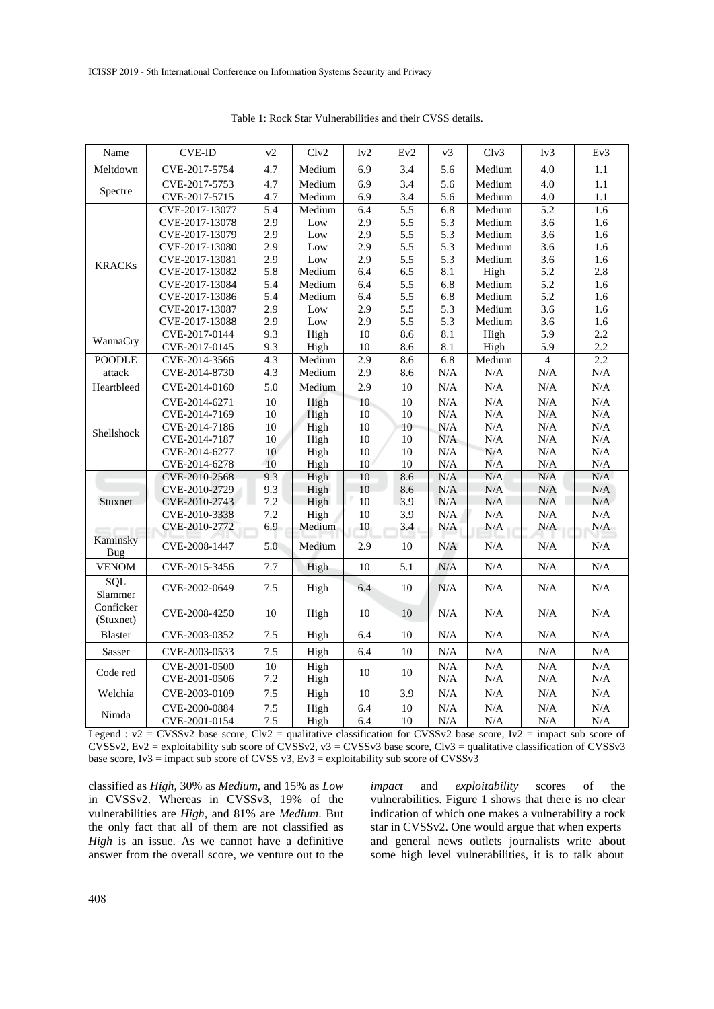| Name                   | <b>CVE-ID</b>  | v2     | Clv2   | Iv2              | Ev2    | v3        | Clv3      | Iv3              | Ev3       |
|------------------------|----------------|--------|--------|------------------|--------|-----------|-----------|------------------|-----------|
| Meltdown               | CVE-2017-5754  | 4.7    | Medium | 6.9              | 3.4    | 5.6       | Medium    | 4.0              | 1.1       |
| Spectre                | CVE-2017-5753  | 4.7    | Medium | 6.9              | 3.4    | 5.6       | Medium    | $\overline{4.0}$ | 1.1       |
|                        | CVE-2017-5715  | 4.7    | Medium | 6.9              | 3.4    | 5.6       | Medium    | 4.0              | 1.1       |
| <b>KRACKs</b>          | CVE-2017-13077 | 5.4    | Medium | 6.4              | 5.5    | 6.8       | Medium    | 5.2              | 1.6       |
|                        | CVE-2017-13078 | 2.9    | Low    | 2.9              | 5.5    | 5.3       | Medium    | 3.6              | 1.6       |
|                        | CVE-2017-13079 | 2.9    | Low    | 2.9              | 5.5    | 5.3       | Medium    | 3.6              | 1.6       |
|                        | CVE-2017-13080 | 2.9    | Low    | 2.9              | 5.5    | 5.3       | Medium    | 3.6              | 1.6       |
|                        | CVE-2017-13081 | 2.9    | Low    | 2.9              | 5.5    | 5.3       | Medium    | 3.6              | 1.6       |
|                        | CVE-2017-13082 | 5.8    | Medium | 6.4              | 6.5    | 8.1       | High      | 5.2              | 2.8       |
|                        | CVE-2017-13084 | 5.4    | Medium | 6.4              | 5.5    | 6.8       | Medium    | 5.2              | 1.6       |
|                        | CVE-2017-13086 | 5.4    | Medium | 6.4              | 5.5    | 6.8       | Medium    | 5.2              | 1.6       |
|                        | CVE-2017-13087 | 2.9    | Low    | 2.9              | 5.5    | 5.3       | Medium    | 3.6              | 1.6       |
|                        | CVE-2017-13088 | 2.9    | Low    | 2.9              | 5.5    | 5.3       | Medium    | 3.6              | 1.6       |
| WannaCry               | CVE-2017-0144  | 9.3    | High   | 10               | 8.6    | 8.1       | High      | 5.9              | 2.2       |
|                        | CVE-2017-0145  | 9.3    | High   | $10\,$           | 8.6    | 8.1       | High      | 5.9              | 2.2       |
| <b>POODLE</b>          | CVE-2014-3566  | 4.3    | Medium | $\overline{2.9}$ | 8.6    | 6.8       | Medium    | $\overline{4}$   | 2.2       |
| attack                 | CVE-2014-8730  | 4.3    | Medium | 2.9              | 8.6    | $\rm N/A$ | N/A       | N/A              | $\rm N/A$ |
| Heartbleed             | CVE-2014-0160  | 5.0    | Medium | 2.9              | 10     | N/A       | N/A       | N/A              | N/A       |
| Shellshock             | CVE-2014-6271  | $10\,$ | High   | 10               | 10     | $\rm N/A$ | N/A       | N/A              | $\rm N/A$ |
|                        | CVE-2014-7169  | $10\,$ | High   | 10               | 10     | $\rm N/A$ | $\rm N/A$ | N/A              | $\rm N/A$ |
|                        | CVE-2014-7186  | 10     | High   | 10               | 10     | N/A       | N/A       | N/A              | $\rm N/A$ |
|                        | CVE-2014-7187  | 10     | High   | 10               | $10\,$ | N/A       | $\rm N/A$ | N/A              | $\rm N/A$ |
|                        | CVE-2014-6277  | 10     | High   | 10               | 10     | N/A       | N/A       | N/A              | N/A       |
|                        | CVE-2014-6278  | 10     | High   | 10               | 10     | N/A       | N/A       | N/A              | $\rm N/A$ |
| Stuxnet                | CVE-2010-2568  | 9.3    | High   | 10               | 8.6    | N/A       | N/A       | N/A              | N/A       |
|                        | CVE-2010-2729  | 9.3    | High   | 10               | 8.6    | N/A       | N/A       | N/A              | N/A       |
|                        | CVE-2010-2743  | 7.2    | High   | 10               | 3.9    | N/A       | N/A       | N/A              | N/A       |
|                        | CVE-2010-3338  | 7.2    | High   | 10               | 3.9    | N/A       | N/A       | N/A              | N/A       |
|                        | CVE-2010-2772  | 6.9    | Medium | 10               | 3.4    | N/A       | N/A       | N/A              | N/A       |
| Kaminsky<br>Bug        | CVE-2008-1447  | 5.0    | Medium | 2.9              | 10     | N/A       | N/A       | N/A              | N/A       |
| <b>VENOM</b>           | CVE-2015-3456  | 7.7    | High   | 10               | 5.1    | N/A       | N/A       | N/A              | N/A       |
| SQL<br>Slammer         | CVE-2002-0649  | 7.5    | High   | 6.4              | 10     | N/A       | N/A       | N/A              | N/A       |
| Conficker<br>(Stuxnet) | CVE-2008-4250  | 10     | High   | 10               | 10     | N/A       | N/A       | N/A              | N/A       |
| <b>Blaster</b>         | CVE-2003-0352  | 7.5    | High   | 6.4              | 10     | N/A       | N/A       | N/A              | N/A       |
| Sasser                 | CVE-2003-0533  | 7.5    | High   | 6.4              | 10     | N/A       | $\rm N/A$ | N/A              | $\rm N/A$ |
| Code red               | CVE-2001-0500  | 10     | High   |                  |        | N/A       | N/A       | N/A              | N/A       |
|                        | CVE-2001-0506  | 7.2    | High   | 10               | 10     | N/A       | N/A       | N/A              | $\rm N/A$ |
| Welchia                | CVE-2003-0109  | 7.5    | High   | 10               | 3.9    | N/A       | N/A       | N/A              | $\rm N/A$ |
| Nimda                  | CVE-2000-0884  | 7.5    | High   | 6.4              | 10     | N/A       | N/A       | N/A              | N/A       |
|                        | CVE-2001-0154  | 7.5    | High   | 6.4              | 10     | N/A       | N/A       | N/A              | $\rm N/A$ |

Table 1: Rock Star Vulnerabilities and their CVSS details.

Legend :  $v2 = CVSSv2$  base score,  $C/v2 =$  qualitative classification for CVSSv2 base score,  $Iv2 =$  impact sub score of CVSSv2, Ev2 = exploitability sub score of CVSSv2,  $v3 = CVSSv3$  base score, Clv3 = qualitative classification of CVSSv3 base score, Iv3 = impact sub score of CVSS v3, Ev3 = exploitability sub score of CVSS v3

classified as *High*, 30% as *Medium*, and 15% as *Low* in CVSSv2. Whereas in CVSSv3, 19% of the vulnerabilities are *High*, and 81% are *Medium*. But the only fact that all of them are not classified as *High* is an issue. As we cannot have a definitive answer from the overall score, we venture out to the *impact* and *exploitability* scores of the vulnerabilities. Figure 1 shows that there is no clear indication of which one makes a vulnerability a rock star in CVSSv2. One would argue that when experts and general news outlets journalists write about some high level vulnerabilities, it is to talk about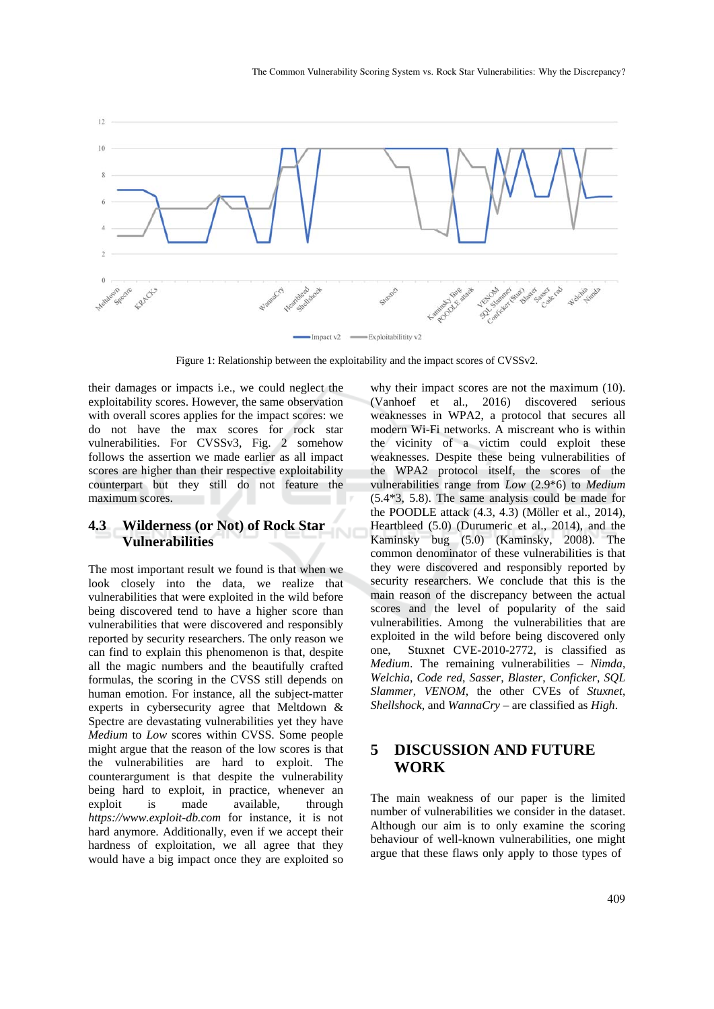

Figure 1: Relationship between the exploitability and the impact scores of CVSSv2.

their damages or impacts i.e., we could neglect the exploitability scores. However, the same observation with overall scores applies for the impact scores: we do not have the max scores for rock star vulnerabilities. For CVSSv3, Fig. 2 somehow follows the assertion we made earlier as all impact scores are higher than their respective exploitability counterpart but they still do not feature the maximum scores.

#### **4.3 Wilderness (or Not) of Rock Star Vulnerabilities**

The most important result we found is that when we look closely into the data, we realize that vulnerabilities that were exploited in the wild before being discovered tend to have a higher score than vulnerabilities that were discovered and responsibly reported by security researchers. The only reason we can find to explain this phenomenon is that, despite all the magic numbers and the beautifully crafted formulas, the scoring in the CVSS still depends on human emotion. For instance, all the subject-matter experts in cybersecurity agree that Meltdown & Spectre are devastating vulnerabilities yet they have *Medium* to *Low* scores within CVSS. Some people might argue that the reason of the low scores is that the vulnerabilities are hard to exploit. The counterargument is that despite the vulnerability being hard to exploit, in practice, whenever an exploit is made available, through *https://www.exploit-db.com* for instance, it is not hard anymore. Additionally, even if we accept their hardness of exploitation, we all agree that they would have a big impact once they are exploited so

why their impact scores are not the maximum (10). (Vanhoef et al., 2016) discovered serious weaknesses in WPA2, a protocol that secures all modern Wi-Fi networks. A miscreant who is within the vicinity of a victim could exploit these weaknesses. Despite these being vulnerabilities of the WPA2 protocol itself, the scores of the vulnerabilities range from *Low* (2.9\*6) to *Medium* (5.4\*3, 5.8). The same analysis could be made for the POODLE attack (4.3, 4.3) (Möller et al., 2014), Heartbleed (5.0) (Durumeric et al., 2014), and the Kaminsky bug (5.0) (Kaminsky, 2008). The common denominator of these vulnerabilities is that they were discovered and responsibly reported by security researchers. We conclude that this is the main reason of the discrepancy between the actual scores and the level of popularity of the said vulnerabilities. Among the vulnerabilities that are exploited in the wild before being discovered only one, Stuxnet CVE-2010-2772, is classified as *Medium*. The remaining vulnerabilities – *Nimda*, *Welchia*, *Code red*, *Sasser*, *Blaster*, *Conficker*, *SQL Slammer*, *VENOM*, the other CVEs of *Stuxnet*, *Shellshock*, and *WannaCry* – are classified as *High*.

# **5 DISCUSSION AND FUTURE WORK**

The main weakness of our paper is the limited number of vulnerabilities we consider in the dataset. Although our aim is to only examine the scoring behaviour of well-known vulnerabilities, one might argue that these flaws only apply to those types of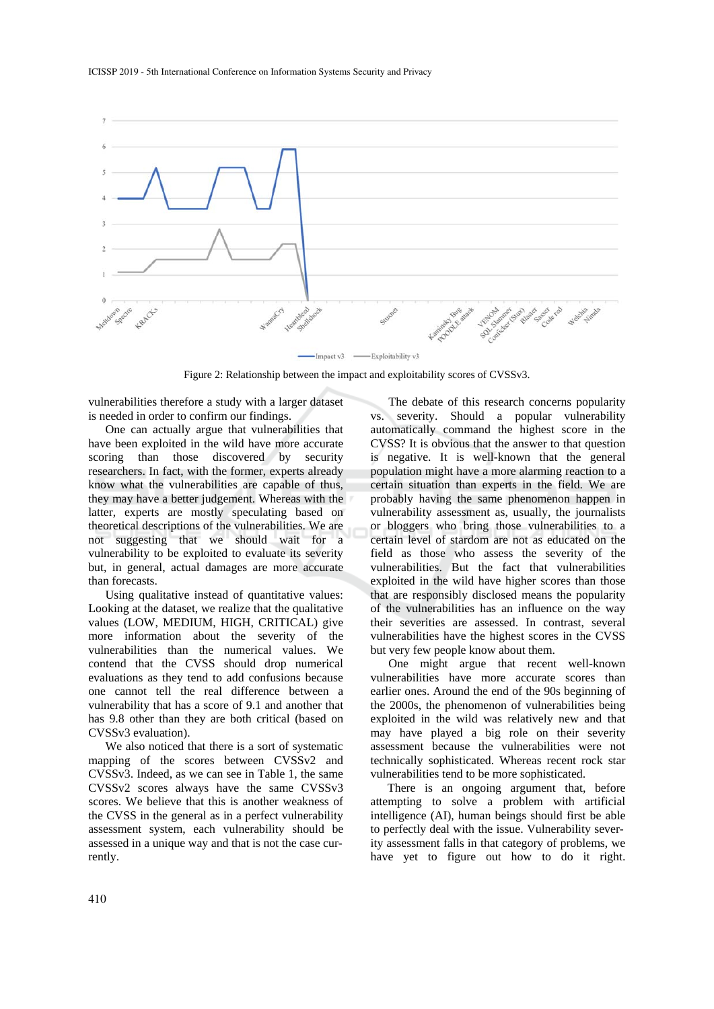

Figure 2: Relationship between the impact and exploitability scores of CVSSv3.

vulnerabilities therefore a study with a larger dataset is needed in order to confirm our findings.

One can actually argue that vulnerabilities that have been exploited in the wild have more accurate scoring than those discovered by security researchers. In fact, with the former, experts already know what the vulnerabilities are capable of thus, they may have a better judgement. Whereas with the latter, experts are mostly speculating based on theoretical descriptions of the vulnerabilities. We are not suggesting that we should wait for a vulnerability to be exploited to evaluate its severity but, in general, actual damages are more accurate than forecasts.

Using qualitative instead of quantitative values: Looking at the dataset, we realize that the qualitative values (LOW, MEDIUM, HIGH, CRITICAL) give more information about the severity of the vulnerabilities than the numerical values. We contend that the CVSS should drop numerical evaluations as they tend to add confusions because one cannot tell the real difference between a vulnerability that has a score of 9.1 and another that has 9.8 other than they are both critical (based on CVSSv3 evaluation).

We also noticed that there is a sort of systematic mapping of the scores between CVSSv2 and CVSSv3. Indeed, as we can see in Table 1, the same CVSSv2 scores always have the same CVSSv3 scores. We believe that this is another weakness of the CVSS in the general as in a perfect vulnerability assessment system, each vulnerability should be assessed in a unique way and that is not the case currently.

The debate of this research concerns popularity vs. severity. Should a popular vulnerability automatically command the highest score in the CVSS? It is obvious that the answer to that question is negative. It is well-known that the general population might have a more alarming reaction to a certain situation than experts in the field. We are probably having the same phenomenon happen in vulnerability assessment as, usually, the journalists or bloggers who bring those vulnerabilities to a certain level of stardom are not as educated on the field as those who assess the severity of the vulnerabilities. But the fact that vulnerabilities exploited in the wild have higher scores than those that are responsibly disclosed means the popularity of the vulnerabilities has an influence on the way their severities are assessed. In contrast, several vulnerabilities have the highest scores in the CVSS but very few people know about them.

One might argue that recent well-known vulnerabilities have more accurate scores than earlier ones. Around the end of the 90s beginning of the 2000s, the phenomenon of vulnerabilities being exploited in the wild was relatively new and that may have played a big role on their severity assessment because the vulnerabilities were not technically sophisticated. Whereas recent rock star vulnerabilities tend to be more sophisticated.

There is an ongoing argument that, before attempting to solve a problem with artificial intelligence (AI), human beings should first be able to perfectly deal with the issue. Vulnerability severity assessment falls in that category of problems, we have yet to figure out how to do it right.